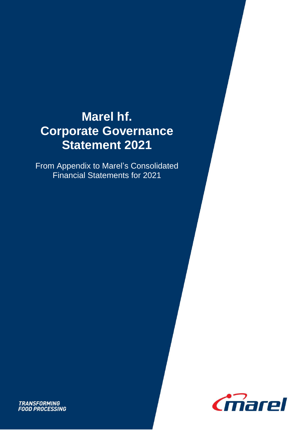# **Marel hf. Corporate Governance Statement 2021**

From Appendix to Marel's Consolidated Financial Statements for 2021



**TRANSFORMING<br>FOOD PROCESSING**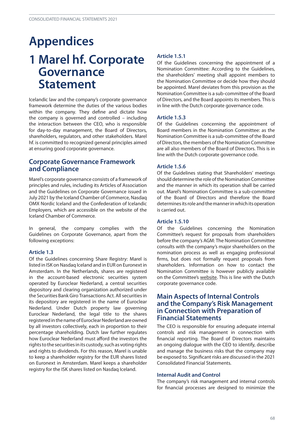# **Appendices 1 Marel hf. Corporate Governance Statement**

Icelandic law and the company's corporate governance framework determine the duties of the various bodies within the company. They define and dictate how the company is governed and controlled – including the interaction between the CEO, who is responsible for day-to-day management, the Board of Directors, shareholders, regulators, and other stakeholders. Marel hf. is committed to recognized general principles aimed at ensuring good corporate governance.

# **Corporate Governance Framework and Compliance**

Marel's corporate governance consists of a framework of principles and rules, including its Articles of Association and the Guidelines on Corporate Governance issued in July 2021 by the Iceland Chamber of Commerce, Nasdaq OMX Nordic Iceland and the Confederation of Icelandic Employers, which are accessible on the website of the Iceland Chamber of Commerce.

In general, the company complies with the Guidelines on Corporate Governance, apart from the following exceptions:

## **Article 1.3**

Of the Guidelines concerning Share Registry: Marel is listed in ISK on Nasdaq Iceland and in EUR on Euronext in Amsterdam. In the Netherlands, shares are registered in the account-based electronic securities system operated by Euroclear Nederland, a central securities depository and clearing organization authorized under the Securities Bank Giro Transactions Act. All securities in its depository are registered in the name of Euroclear Nederland. Under Dutch property law governing Euroclear Nederland, the legal title to the shares registered in the name of Euroclear Nederland are owned by all investors collectively, each in proportion to their percentage shareholding. Dutch law further regulates how Euroclear Nederland must afford the investors the rights to the securities in its custody, such as voting rights and rights to dividends. For this reason, Marel is unable to keep a shareholder registry for the EUR shares listed on Euronext in Amsterdam. Marel keeps a shareholder registry for the ISK shares listed on Nasdaq Iceland.

## **Article 1.5.1**

Of the Guidelines concerning the appointment of a Nomination Committee: According to the Guidelines, the shareholders' meeting shall appoint members to the Nomination Committee or decide how they should be appointed. Marel deviates from this provision as the Nomination Committee is a sub-committee of the Board of Directors, and the Board appoints its members. This is in line with the Dutch corporate governance code.

## **Article 1.5.3**

Of the Guidelines concerning the appointment of Board members in the Nomination Committee: as the Nomination Committee is a sub-committee of the Board of Directors, the members of the Nomination Committee are all also members of the Board of Directors. This is in line with the Dutch corporate governance code.

### **Article 1.5.6**

Of the Guidelines stating that Shareholders' meetings should determine the role of the Nomination Committee and the manner in which its operation shall be carried out. Marel's Nomination Committee is a sub-committee of the Board of Directors and therefore the Board determines its role and the manner in which its operation is carried out.

### **Article 1.5.10**

Of the Guidelines concerning the Nomination Committee's request for proposals from shareholders before the company's AGM: The Nomination Committee consults with the company's major shareholders on the nomination process as well as engaging professional firms, but does not formally request proposals from shareholders. Information on how to contact the Nomination Committee is however publicly available on the Committee's [website.](https://marel.com/en/investors/corporate-governance/board-composition#nomination-committee) This is line with the Dutch corporate governance code.

# **Main Aspects of Internal Controls and the Company's Risk Management in Connection with Preparation of Financial Statements**

The CEO is responsible for ensuring adequate internal controls and risk management in connection with financial reporting. The Board of Directors maintains an ongoing dialogue with the CEO to identify, describe and manage the business risks that the company may be exposed to. Significant risks are discussed in the 2021 Consolidated Financial Statements.

### **Internal Audit and Control**

The company's risk management and internal controls for financial processes are designed to minimize the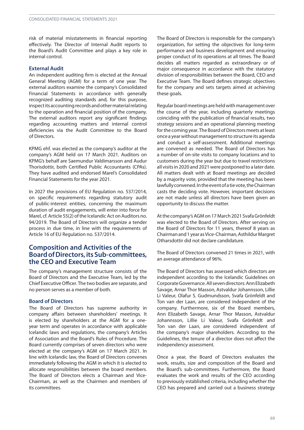risk of material misstatements in financial reporting effectively. The Director of Internal Audit reports to the Board's Audit Committee and plays a key role in internal control.

#### **External Audit**

An independent auditing firm is elected at the Annual General Meeting (AGM) for a term of one year. The external auditors examine the company's Consolidated Financial Statements in accordance with generally recognized auditing standards and, for this purpose, inspect its accounting records and other material relating to the operation and financial position of the company. The external auditors report any significant findings regarding accounting matters and internal control deficiencies via the Audit Committee to the Board of Directors.

KPMG ehf. was elected as the company's auditor at the company's AGM held on 17 March 2021. Auditors on KPMG's behalf are Saemundur Valdimarsson and Audur Thorisdottir, both Certified Public Accountants (CPAs). They have audited and endorsed Marel's Consolidated Financial Statements for the year 2021.

In 2027 the provisions of EU Regulation no. 537/2014, on specific requirements regarding statutory audit of public-interest entities, concerning the maximum duration of audit engagements, will enter into force for Marel, cf. Article 55(2) of the Icelandic Act on Auditors no. 94/2019. The Board of Directors will organize a tender process in due time, in line with the requirements of Article 16 of EU Regulation no. 537/2014.

# **Composition and Activities of the BoardofDirectors,itsSub-committees, the CEO and Executive Team**

The company's management structure consists of the Board of Directors and the Executive Team, led by the Chief ExecutiveOfficer. The two bodies are separate, and no person serves as a member of both.

#### **Board of Directors**

The Board of Directors has supreme authority in company affairs between shareholders' meetings. It is elected by shareholders at the AGM for a oneyear term and operates in accordance with applicable Icelandic laws and regulations, the company's Articles of Association and the Board's Rules of Procedure. The Board currently comprises of seven directors who were elected at the company's AGM on 17 March 2021. In line with Icelandic law, the Board of Directors convenes immediately following the AGM in which it is elected to allocate responsibilities between the board members. The Board of Directors elects a Chairman and Vice-Chairman, as well as the Chairmen and members of its committees.

The Board of Directors is responsible for the company's organization, for setting the objectives for long-term performance and business development and ensuring proper conduct of its operations at all times. The Board decides all matters regarded as extraordinary or of major consequence in accordance with the statutory division of responsibilities between the Board, CEO and Executive Team. The Board defines strategic objectives for the company and sets targets aimed at achieving these goals.

Regular board meetings are held with management over the course of the year, including quarterly meetings coinciding with the publication of financial results, two strategy sessions and an operational planning meeting for the coming year. The Board of Directors meets at least once a year without management to structure its agenda and conduct a self-assessment. Additional meetings are convened as needed. The Board of Directors has a number of on-site visits to company locations and to customers during the year but due to travel restrictions all visits in 2020 and 2021 were postponed to a later date. All matters dealt with at Board meetings are decided by a majority vote, provided that the meeting has been lawfully convened. In the event of a tie vote, the Chairman casts the deciding vote. However, important decisions are not made unless all directors have been given an opportunity to discuss the matter.

Atthe company'sAGM on 17 March 2021 SvafaGrönfeldt was elected to the Board of Directors. After serving on the Board of Directors for 11 years, thereof 8 years as Chairmanand1year asVice-Chairman,AsthildurMargret Otharsdottir did not declare candidature.

The Board of Directors convened 21 times in 2021, with an average attendance of 96%.

The Board of Directors has assessed which directors are independent according to the Icelandic Guidelines on CorporateGovernance.Allsevendirectors:AnnElizabeth Savage, Arnar Thor Masson, Astvaldur Johannsson, Lillie Li Valeur, Olafur S. Gudmundsson, Svafa Grönfeldt and Ton van der Laan, are considered independent of the company. Furthermore, six of the Board members, Ann Elizabeth Savage, Arnar Thor Masson, Astvaldur Johannsson, Lillie Li Valeur, Svafa Grönfeldt and Ton van der Laan, are considered independent of the company's major shareholders. According to the Guidelines, the tenure of a director does not affect the independency assessment.

Once a year, the Board of Directors evaluates the work, results, size and composition of the Board and the Board's sub-committees. Furthermore, the Board evaluates the work and results of the CEO according to previously established criteria, including whether the CEO has prepared and carried out a business strategy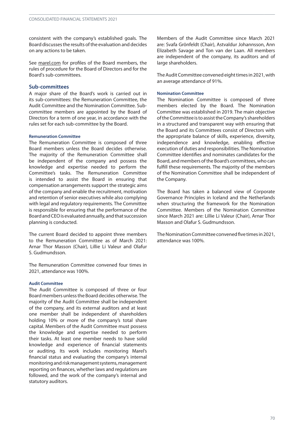consistent with the company's established goals. The Board discusses the results of the evaluation and decides on any actions to be taken.

See [marel.com](https://marel.com/en/investors/corporate-governance) for profiles of the Board members, the rules of procedure for the Board of Directors and for the Board's sub-committees.

## **Sub-committees**

A major share of the Board's work is carried out in its sub-committees: the Remuneration Committee, the Audit Committee and the Nomination Committee. Subcommittee members are appointed by the Board of Directors for a term of one year, in accordance with the rules set for each sub-committee by the Board.

#### **Remuneration Committee**

The Remuneration Committee is composed of three Board members unless the Board decides otherwise. The majority of the Remuneration Committee shall be independent of the company and possess the knowledge and expertise needed to perform the Committee's tasks. The Remuneration Committee is intended to assist the Board in ensuring that compensation arrangements support the strategic aims of the company and enable the recruitment, motivation and retention of senior executives while also complying with legal and regulatory requirements. The Committee is responsible for ensuring that the performance of the Board and CEO is evaluated annually, and that succession planning is conducted.

The current Board decided to appoint three members to the Remuneration Committee as of March 2021: Arnar Thor Masson (Chair), Lillie Li Valeur and Olafur S. Gudmundsson.

The Remuneration Committee convened four times in 2021, attendance was 100%.

### **Audit Committee**

The Audit Committee is composed of three or four Board members unless the Board decides otherwise. The majority of the Audit Committee shall be independent of the company, and its external auditors and at least one member shall be independent of shareholders holding 10% or more of the company's total share capital. Members of the Audit Committee must possess the knowledge and expertise needed to perform their tasks. At least one member needs to have solid knowledge and experience of financial statements or auditing. Its work includes monitoring Marel's financial status and evaluating the company's internal monitoringandriskmanagementsystems,management reporting on finances, whether laws and regulations are followed, and the work of the company's internal and statutory auditors.

Members of the Audit Committee since March 2021 are: Svafa Grönfeldt (Chair), Astvaldur Johannsson, Ann Elizabeth Savage and Ton van der Laan. All members are independent of the company, its auditors and of large shareholders.

The Audit Committee convened eight times in 2021, with an average attendance of 91%.

#### **Nomination Committee**

The Nomination Committee is composed of three members elected by the Board. The Nomination Committee was established in 2019. The main objective of the Committee is to assist the Company's shareholders in a structured and transparent way with ensuring that the Board and its Committees consist of Directors with the appropriate balance of skills, experience, diversity, independence and knowledge, enabling effective execution of duties and responsibilities. The Nomination Committee identifies and nominates candidates for the Board, and members of the Board's committees, who can fulfill these requirements. The majority of the members of the Nomination Committee shall be independent of the Company.

The Board has taken a balanced view of Corporate Governance Principles in Iceland and the Netherlands when structuring the framework for the Nomination Committee. Members of the Nomination Committee since March 2021 are: Lillie Li Valeur (Chair), Arnar Thor Masson and Olafur S. Gudmundsson.

The Nomination Committee convened five times in 2021, attendance was 100%.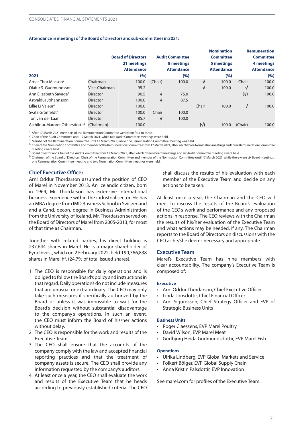#### **AttendanceinmeetingsoftheBoardofDirectorsandsub-committees in2021:**

|                                             | <b>Board of Directors</b> |                                  | <b>Audit Committee</b> |                                 |              | <b>Nomination</b><br><b>Committee</b> |              | <b>Remuneration</b><br>Committee <sup>1</sup> |  |
|---------------------------------------------|---------------------------|----------------------------------|------------------------|---------------------------------|--------------|---------------------------------------|--------------|-----------------------------------------------|--|
|                                             |                           | 21 meetings<br><b>Attendance</b> |                        | 8 meetings<br><b>Attendance</b> |              | 5 meetings<br><b>Attendance</b>       |              | 4 meetings<br><b>Attendance</b>               |  |
| 2021                                        |                           | (%)                              |                        | (%)                             |              | (%)                                   |              | (%)                                           |  |
| Arnar Thor Masson <sup>2</sup>              | Chairman                  | 100.0                            | (Chair)                | 100.0                           | V            | 100.0                                 | Chair        | 100.0                                         |  |
| Olafur S. Gudmundsson                       | Vice-Chairman             | 95.2                             |                        |                                 | √            | 100.0                                 | √            | 100.0                                         |  |
| Ann Elizabeth Savage <sup>3</sup>           | <b>Director</b>           | 90.5                             | $\sqrt{ }$             | 75.0                            |              |                                       | $(\sqrt{2})$ | 100.0                                         |  |
| Astvaldur Johannsson                        | <b>Director</b>           | 100.0                            | √                      | 87.5                            |              |                                       |              |                                               |  |
| Lillie Li Valeur <sup>4</sup>               | <b>Director</b>           | 100.0                            |                        |                                 | Chair        | 100.0                                 | √            | 100.0                                         |  |
| Svafa Grönfeldt <sup>5</sup>                | <b>Director</b>           | 100.0                            | Chair                  | 100.0                           |              |                                       |              |                                               |  |
| Ton van der Laan                            | <b>Director</b>           | 85.7                             | $\sqrt{ }$             | 100.0                           |              |                                       |              |                                               |  |
| Asthildur Margret Otharsdottir <sup>6</sup> | (Chairman)                | 100.0                            |                        |                                 | $(\sqrt{2})$ | 100.0                                 | (Chair)      | 100.0                                         |  |

1 After 17 March 2021 members of the Remuneration Committee went from four to three.

2 Chair of the Audit Committee until 17 March 2021, while two Audit Committee meetings were held.

3 Member of the Remuneration Committee until 17 March 2021, while one Remuneration Committee meeting was held.

4 Chair oftheNominationCommittee and member ofthe RemunerationCommittee from 17 March 2021, afterwhich threeNomination meetings and three RemunerationCommittee meetings were held.

5 Board director and Chair of the Audit Committee from 17 March 2021, after which fifteen Board meetings and six Audit Committee meetings were held.

6 Chairman of the Board of Directors, Chair of the Remuneration Committee and member of the Nomination Committee until 17 March 2021, while there were six Board meetings, one Remuneration Committee meeting and two Nomination Committee meetings were held.

#### **Chief Executive Officer**

Arni Oddur Thordarson assumed the position of CEO of Marel in November 2013. An Icelandic citizen, born in 1969, Mr. Thordarson has extensive international business experience within the industrial sector. He has an MBA degree fromIMD Business School in Switzerland and a Cand. oecon. degree in Business Administration from the University of Iceland. Mr. Thordarson served on the Board of Directors of Marel from2005-2013, formost of that time as Chairman.

Together with related parties, his direct holding is 237,644 shares in Marel. He is a major shareholder of Eyrir Invest, which on 2 February 2022, held 190,366,838 shares in Marel hf. (24.7% of total issued shares).

- 1. The CEO is responsible for daily operations and is obliged to follow the Board's policy and instructions in that regard. Daily operations do not include measures that are unusual or extraordinary. The CEO may only take such measures if specifically authorized by the Board or unless it was impossible to wait for the Board's decision without substantial disadvantage to the company's operations. In such an event, the CEO must inform the Board of his/her actions without delay.
- 2. The CEO is responsible for the work and results of the Executive Team.
- 3. The CEO shall ensure that the accounts of the company comply with the law and accepted financial reporting practices and that the treatment of company assets is secure. The CEO shall provide any information requested by the company's auditors.
- 4. At least once a year, the CEO shall evaluate the work and results of the Executive Team that he heads according to previously established criteria. The CEO

shall discuss the results of his evaluation with each member of the Executive Team and decide on any actions to be taken.

At least once a year, the Chairman and the CEO will meet to discuss the results of the Board's evaluation of the CEO's work and performance and any proposed actions in response. The CEO reviews with the Chairman the results of his/her evaluation of the Executive Team and what actions may be needed, if any. The Chairman reports to the Board of Directors on discussions with the CEO as he/she deems necessary and appropriate.

#### **Executive Team**

Marel's Executive Team has nine members with clear accountability. The company's Executive Team is composed of:

#### **Executive**

- Arni Oddur Thordarson, Chief Executive Officer
- Linda Jonsdottir, Chief Financial Officer
- Arni Sigurdsson, Chief Strategy Officer and EVP of Strategic Business Units

#### **Business Units**

- Roger Claessens, EVP Marel Poultry
- David Wilson, EVP Marel Meat
- Gudbjorg Heida Gudmundsdottir, EVP Marel Fish

#### **Operations**

- Ulrika Lindberg, EVP Global Markets and Service
- Folkert Bölger, EVP Global Supply Chain
- Anna Kristin Palsdottir, EVP Innovation

See [marel.com](https://marel.com/en/investors/corporate-governance) for profiles of the Executive Team.